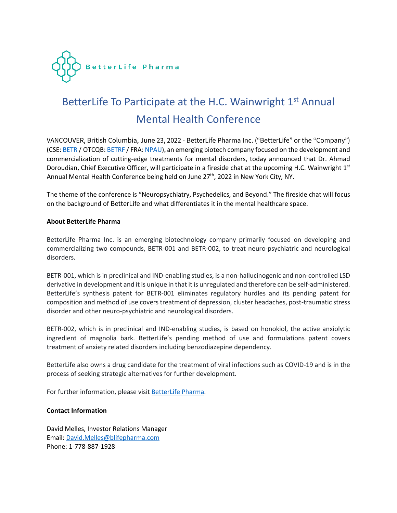

## BetterLife To Participate at the H.C. Wainwright 1<sup>st</sup> Annual Mental Health Conference

VANCOUVER, British Columbia, June 23, 2022 - BetterLife Pharma Inc. ("BetterLife" or the "Company") (CSE: BETR / OTCQB: BETRE / FRA: NPAU), an emerging biotech company focused on the development and commercialization of cutting-edge treatments for mental disorders, today announced that Dr. Ahmad Doroudian, Chief Executive Officer, will participate in a fireside chat at the upcoming H.C. Wainwright 1<sup>st</sup> Annual Mental Health Conference being held on June  $27<sup>th</sup>$ , 2022 in New York City, NY.

The theme of the conference is "Neuropsychiatry, Psychedelics, and Beyond." The fireside chat will focus on the background of BetterLife and what differentiates it in the mental healthcare space.

## **About BetterLife Pharma**

BetterLife Pharma Inc. is an emerging biotechnology company primarily focused on developing and commercializing two compounds, BETR-001 and BETR-002, to treat neuro-psychiatric and neurological disorders.

BETR-001, which is in preclinical and IND-enabling studies, is a non-hallucinogenic and non-controlled LSD derivative in development and it is unique in that it is unregulated and therefore can be self-administered. BetterLife's synthesis patent for BETR-001 eliminates regulatory hurdles and its pending patent for composition and method of use covers treatment of depression, cluster headaches, post-traumatic stress disorder and other neuro-psychiatric and neurological disorders.

BETR-002, which is in preclinical and IND-enabling studies, is based on honokiol, the active anxiolytic ingredient of magnolia bark. BetterLife's pending method of use and formulations patent covers treatment of anxiety related disorders including benzodiazepine dependency.

BetterLife also owns a drug candidate for the treatment of viral infections such as COVID-19 and is in the process of seeking strategic alternatives for further development.

For further information, please visit BetterLife Pharma.

## **Contact Information**

David Melles, Investor Relations Manager Email: David.Melles@blifepharma.com Phone: 1-778-887-1928